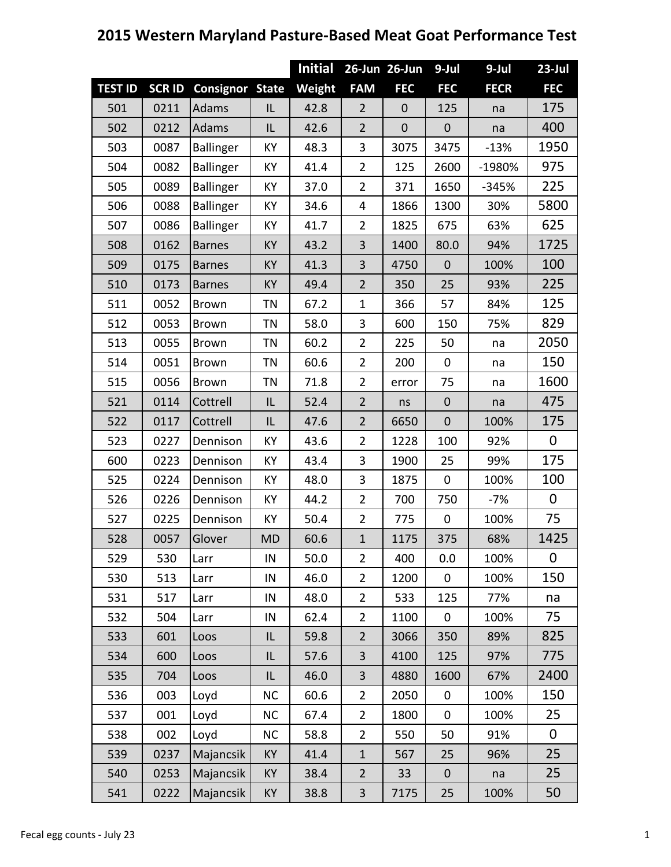|                |              |                        |           | <b>Initial</b> |                | 26-Jun 26-Jun | 9-Jul            | 9-Jul       | $23$ -Jul   |
|----------------|--------------|------------------------|-----------|----------------|----------------|---------------|------------------|-------------|-------------|
| <b>TEST ID</b> | <b>SCRID</b> | <b>Consignor State</b> |           | Weight         | <b>FAM</b>     | <b>FEC</b>    | <b>FEC</b>       | <b>FECR</b> | <b>FEC</b>  |
| 501            | 0211         | Adams                  | IL        | 42.8           | $\overline{2}$ | $\mathbf 0$   | 125              | na          | 175         |
| 502            | 0212         | Adams                  | IL        | 42.6           | $\overline{2}$ | $\mathbf 0$   | $\mathbf 0$      | na          | 400         |
| 503            | 0087         | Ballinger              | KY        | 48.3           | 3              | 3075          | 3475             | $-13%$      | 1950        |
| 504            | 0082         | <b>Ballinger</b>       | KY        | 41.4           | $\overline{2}$ | 125           | 2600             | -1980%      | 975         |
| 505            | 0089         | <b>Ballinger</b>       | KY        | 37.0           | $\overline{2}$ | 371           | 1650             | $-345%$     | 225         |
| 506            | 0088         | <b>Ballinger</b>       | KY        | 34.6           | 4              | 1866          | 1300             | 30%         | 5800        |
| 507            | 0086         | <b>Ballinger</b>       | KY        | 41.7           | 2              | 1825          | 675              | 63%         | 625         |
| 508            | 0162         | <b>Barnes</b>          | KY        | 43.2           | 3              | 1400          | 80.0             | 94%         | 1725        |
| 509            | 0175         | <b>Barnes</b>          | <b>KY</b> | 41.3           | 3              | 4750          | $\mathbf 0$      | 100%        | 100         |
| 510            | 0173         | <b>Barnes</b>          | <b>KY</b> | 49.4           | $\overline{2}$ | 350           | 25               | 93%         | 225         |
| 511            | 0052         | <b>Brown</b>           | TN        | 67.2           | 1              | 366           | 57               | 84%         | 125         |
| 512            | 0053         | <b>Brown</b>           | TN        | 58.0           | 3              | 600           | 150              | 75%         | 829         |
| 513            | 0055         | <b>Brown</b>           | TN        | 60.2           | 2              | 225           | 50               | na          | 2050        |
| 514            | 0051         | <b>Brown</b>           | TN        | 60.6           | 2              | 200           | $\mathbf 0$      | na          | 150         |
| 515            | 0056         | <b>Brown</b>           | ΤN        | 71.8           | 2              | error         | 75               | na          | 1600        |
| 521            | 0114         | Cottrell               | L         | 52.4           | $\overline{2}$ | ns            | $\mathbf 0$      | na          | 475         |
| 522            | 0117         | Cottrell               | IL        | 47.6           | $\overline{2}$ | 6650          | $\mathbf 0$      | 100%        | 175         |
| 523            | 0227         | Dennison               | KY        | 43.6           | $\overline{2}$ | 1228          | 100              | 92%         | $\mathbf 0$ |
| 600            | 0223         | Dennison               | KY        | 43.4           | 3              | 1900          | 25               | 99%         | 175         |
| 525            | 0224         | Dennison               | KY        | 48.0           | 3              | 1875          | $\boldsymbol{0}$ | 100%        | 100         |
| 526            | 0226         | Dennison               | KY        | 44.2           | $\overline{2}$ | 700           | 750              | $-7%$       | $\mathbf 0$ |
| 527            | 0225         | Dennison               | KY        | 50.4           | $\overline{2}$ | 775           | $\mathbf 0$      | 100%        | 75          |
| 528            | 0057         | Glover                 | <b>MD</b> | 60.6           | $\mathbf{1}$   | 1175          | 375              | 68%         | 1425        |
| 529            | 530          | Larr                   | IN        | 50.0           | $\overline{2}$ | 400           | 0.0              | 100%        | 0           |
| 530            | 513          | Larr                   | IN        | 46.0           | $\overline{2}$ | 1200          | $\mathbf 0$      | 100%        | 150         |
| 531            | 517          | Larr                   | IN        | 48.0           | $\overline{2}$ | 533           | 125              | 77%         | na          |
| 532            | 504          | Larr                   | IN        | 62.4           | $\overline{2}$ | 1100          | $\mathbf 0$      | 100%        | 75          |
| 533            | 601          | Loos                   | IL        | 59.8           | $\overline{2}$ | 3066          | 350              | 89%         | 825         |
| 534            | 600          | Loos                   | IL        | 57.6           | 3              | 4100          | 125              | 97%         | 775         |
| 535            | 704          | Loos                   | IL        | 46.0           | 3              | 4880          | 1600             | 67%         | 2400        |
| 536            | 003          | Loyd                   | <b>NC</b> | 60.6           | 2              | 2050          | 0                | 100%        | 150         |
| 537            | 001          | Loyd                   | <b>NC</b> | 67.4           | 2              | 1800          | $\mathbf 0$      | 100%        | 25          |
| 538            | 002          | Loyd                   | <b>NC</b> | 58.8           | $\overline{2}$ | 550           | 50               | 91%         | $\mathbf 0$ |
| 539            | 0237         | Majancsik              | KY        | 41.4           | $\mathbf{1}$   | 567           | 25               | 96%         | 25          |
| 540            | 0253         | Majancsik              | KY        | 38.4           | $\overline{2}$ | 33            | $\boldsymbol{0}$ | na          | 25          |
| 541            | 0222         | Majancsik              | KY        | 38.8           | 3              | 7175          | 25               | 100%        | 50          |

## **2015 Western Maryland Pasture-Based Meat Goat Performance Test**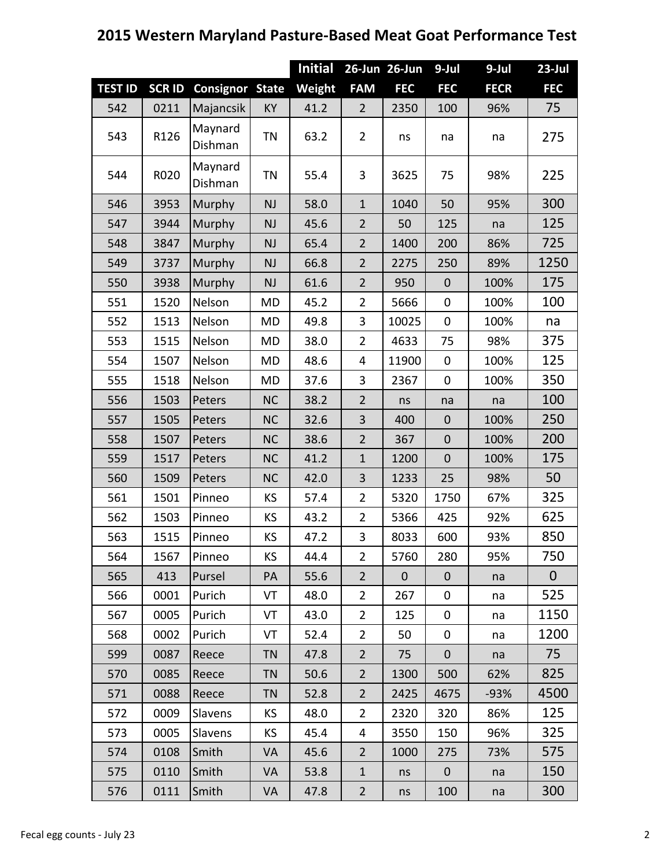|                |              |                        |           | <b>Initial</b> |                | 26-Jun 26-Jun    | $9$ -Jul     | 9-Jul       | $23$ -Jul      |
|----------------|--------------|------------------------|-----------|----------------|----------------|------------------|--------------|-------------|----------------|
| <b>TEST ID</b> | <b>SCRID</b> | <b>Consignor State</b> |           | <b>Weight</b>  | <b>FAM</b>     | <b>FEC</b>       | <b>FEC</b>   | <b>FECR</b> | <b>FEC</b>     |
| 542            | 0211         | Majancsik              | KY        | 41.2           | $\overline{2}$ | 2350             | 100          | 96%         | 75             |
| 543            | R126         | Maynard<br>Dishman     | <b>TN</b> | 63.2           | $\overline{2}$ | ns               | na           | na          | 275            |
| 544            | R020         | Maynard<br>Dishman     | <b>TN</b> | 55.4           | $\mathbf{3}$   | 3625             | 75           | 98%         | 225            |
| 546            | 3953         | Murphy                 | <b>NJ</b> | 58.0           | $\mathbf{1}$   | 1040             | 50           | 95%         | 300            |
| 547            | 3944         | Murphy                 | <b>NJ</b> | 45.6           | $\overline{2}$ | 50               | 125          | na          | 125            |
| 548            | 3847         | Murphy                 | <b>NJ</b> | 65.4           | $\overline{2}$ | 1400             | 200          | 86%         | 725            |
| 549            | 3737         | Murphy                 | <b>NJ</b> | 66.8           | $\overline{2}$ | 2275             | 250          | 89%         | 1250           |
| 550            | 3938         | Murphy                 | <b>NJ</b> | 61.6           | $\overline{2}$ | 950              | $\mathbf 0$  | 100%        | 175            |
| 551            | 1520         | Nelson                 | <b>MD</b> | 45.2           | $\overline{2}$ | 5666             | $\mathbf 0$  | 100%        | 100            |
| 552            | 1513         | Nelson                 | <b>MD</b> | 49.8           | 3              | 10025            | $\mathbf 0$  | 100%        | na             |
| 553            | 1515         | Nelson                 | <b>MD</b> | 38.0           | $\overline{2}$ | 4633             | 75           | 98%         | 375            |
| 554            | 1507         | Nelson                 | <b>MD</b> | 48.6           | 4              | 11900            | $\mathbf 0$  | 100%        | 125            |
| 555            | 1518         | Nelson                 | <b>MD</b> | 37.6           | 3              | 2367             | $\mathbf 0$  | 100%        | 350            |
| 556            | 1503         | Peters                 | <b>NC</b> | 38.2           | $\overline{2}$ | ns               | na           | na          | 100            |
| 557            | 1505         | Peters                 | <b>NC</b> | 32.6           | 3              | 400              | $\mathbf{0}$ | 100%        | 250            |
| 558            | 1507         | Peters                 | <b>NC</b> | 38.6           | $\overline{2}$ | 367              | $\mathbf 0$  | 100%        | 200            |
| 559            | 1517         | Peters                 | <b>NC</b> | 41.2           | $\mathbf{1}$   | 1200             | $\mathbf 0$  | 100%        | 175            |
| 560            | 1509         | Peters                 | <b>NC</b> | 42.0           | 3              | 1233             | 25           | 98%         | 50             |
| 561            | 1501         | Pinneo                 | KS        | 57.4           | $\overline{2}$ | 5320             | 1750         | 67%         | 325            |
| 562            | 1503         | Pinneo                 | KS        | 43.2           | $\overline{2}$ | 5366             | 425          | 92%         | 625            |
| 563            | 1515         | Pinneo                 | ΚS        | 47.2           | 3              | 8033             | 600          | 93%         | 850            |
| 564            | 1567         | Pinneo                 | <b>KS</b> | 44.4           | $\overline{2}$ | 5760             | 280          | 95%         | 750            |
| 565            | 413          | Pursel                 | PA        | 55.6           | $\overline{2}$ | $\boldsymbol{0}$ | $\mathbf 0$  | na          | $\overline{0}$ |
| 566            | 0001         | Purich                 | VT        | 48.0           | $\overline{2}$ | 267              | 0            | na          | 525            |
| 567            | 0005         | Purich                 | VT        | 43.0           | $\overline{2}$ | 125              | $\mathbf 0$  | na          | 1150           |
| 568            | 0002         | Purich                 | VT        | 52.4           | $\overline{2}$ | 50               | $\mathbf 0$  | na          | 1200           |
| 599            | 0087         | Reece                  | <b>TN</b> | 47.8           | $\overline{2}$ | 75               | $\mathbf 0$  | na          | 75             |
| 570            | 0085         | Reece                  | <b>TN</b> | 50.6           | $\overline{2}$ | 1300             | 500          | 62%         | 825            |
| 571            | 0088         | Reece                  | <b>TN</b> | 52.8           | $\overline{2}$ | 2425             | 4675         | $-93%$      | 4500           |
| 572            | 0009         | Slavens                | <b>KS</b> | 48.0           | $\overline{2}$ | 2320             | 320          | 86%         | 125            |
| 573            | 0005         | Slavens                | <b>KS</b> | 45.4           | 4              | 3550             | 150          | 96%         | 325            |
| 574            | 0108         | Smith                  | VA        | 45.6           | $\overline{2}$ | 1000             | 275          | 73%         | 575            |
| 575            | 0110         | Smith                  | VA        | 53.8           | $\mathbf{1}$   | ns               | $\mathbf{0}$ | na          | 150            |
| 576            | 0111         | Smith                  | VA        | 47.8           | $\overline{2}$ | ns               | 100          | na          | 300            |

## **2015 Western Maryland Pasture-Based Meat Goat Performance Test**